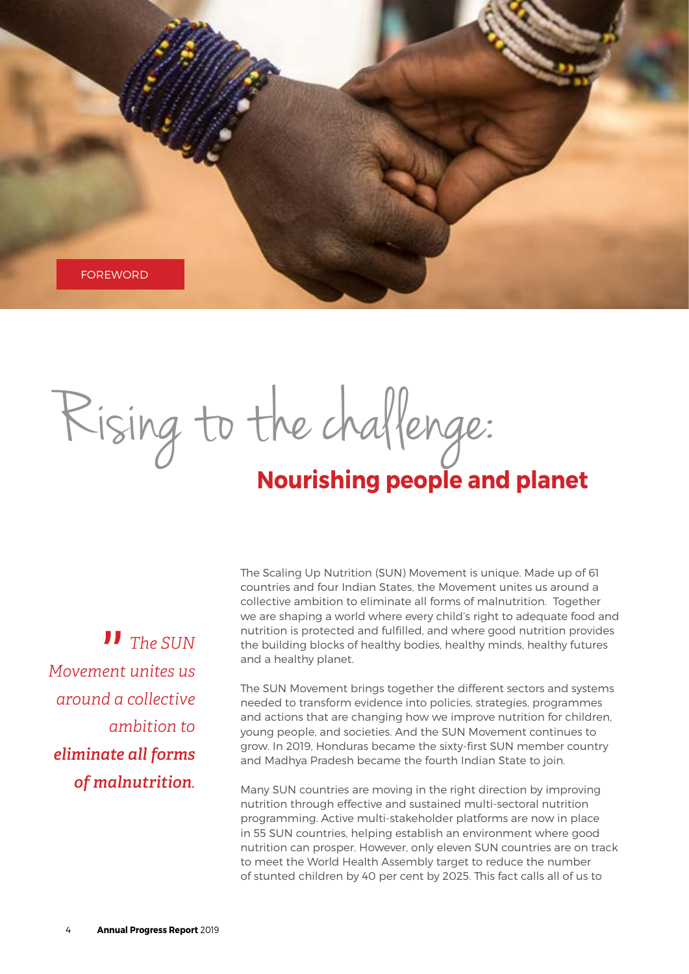

Rising to the challenge:

## **Nourishing people and planet**

*The SUN*<br>ent unites us *Movement unites us around a collective ambition to eliminate all forms of malnutrition.*

The Scaling Up Nutrition (SUN) Movement is unique. Made up of 61 countries and four Indian States, the Movement unites us around a collective ambition to eliminate all forms of malnutrition. Together we are shaping a world where every child's right to adequate food and nutrition is protected and fulfilled, and where good nutrition provides the building blocks of healthy bodies, healthy minds, healthy futures and a healthy planet.

The SUN Movement brings together the different sectors and systems needed to transform evidence into policies, strategies, programmes and actions that are changing how we improve nutrition for children, young people, and societies. And the SUN Movement continues to grow. In 2019, Honduras became the sixty-first SUN member country and Madhya Pradesh became the fourth Indian State to join.

Many SUN countries are moving in the right direction by improving nutrition through effective and sustained multi-sectoral nutrition programming. Active multi-stakeholder platforms are now in place in 55 SUN countries, helping establish an environment where good nutrition can prosper. However, only eleven SUN countries are on track to meet the World Health Assembly target to reduce the number of stunted children by 40 per cent by 2025. This fact calls all of us to